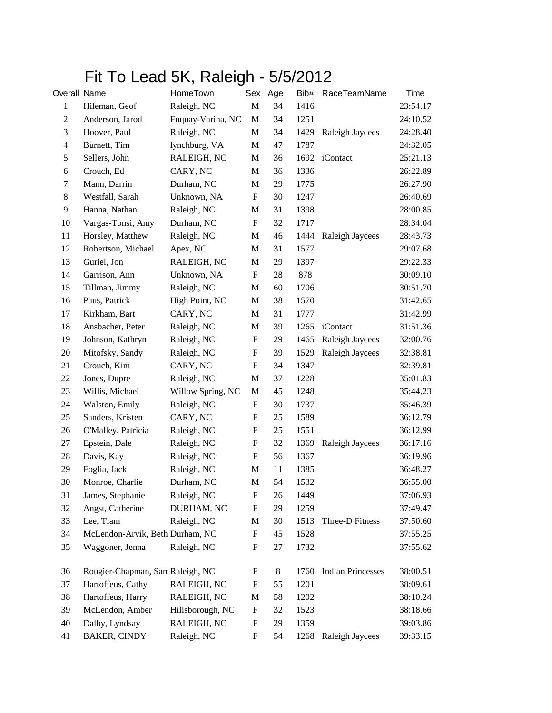## Fit To Lead 5K, Raleigh - 5/5/2012

| Overall Name     |                                  | HomeTown          |                           | Sex Age | Bib# | RaceTeamName             | Time     |
|------------------|----------------------------------|-------------------|---------------------------|---------|------|--------------------------|----------|
| $\mathbf{1}$     | Hileman, Geof                    | Raleigh, NC       | $\mathbf M$               | 34      | 1416 |                          | 23:54.17 |
| $\boldsymbol{2}$ | Anderson, Jarod                  | Fuquay-Varina, NC | $\mathbf M$               | 34      | 1251 |                          | 24:10.52 |
| $\mathfrak{Z}$   | Hoover, Paul                     | Raleigh, NC       | $\mathbf M$               | 34      | 1429 | Raleigh Jaycees          | 24:28.40 |
| $\overline{4}$   | Burnett, Tim                     | lynchburg, VA     | М                         | 47      | 1787 |                          | 24:32.05 |
| $\sqrt{5}$       | Sellers, John                    | RALEIGH, NC       | М                         | 36      | 1692 | iContact                 | 25:21.13 |
| 6                | Crouch, Ed                       | CARY, NC          | M                         | 36      | 1336 |                          | 26:22.89 |
| 7                | Mann, Darrin                     | Durham, NC        | М                         | 29      | 1775 |                          | 26:27.90 |
| $\,8\,$          | Westfall, Sarah                  | Unknown, NA       | $\boldsymbol{\mathrm{F}}$ | 30      | 1247 |                          | 26:40.69 |
| 9                | Hanna, Nathan                    | Raleigh, NC       | M                         | 31      | 1398 |                          | 28:00.85 |
| 10               | Vargas-Tonsi, Amy                | Durham, NC        | $\boldsymbol{\mathrm{F}}$ | 32      | 1717 |                          | 28:34.04 |
| 11               | Horsley, Matthew                 | Raleigh, NC       | M                         | 46      | 1444 | Raleigh Jaycees          | 28:43.73 |
| 12               | Robertson, Michael               | Apex, NC          | M                         | 31      | 1577 |                          | 29:07.68 |
| 13               | Guriel, Jon                      | RALEIGH, NC       | M                         | 29      | 1397 |                          | 29:22.33 |
| 14               | Garrison, Ann                    | Unknown, NA       | $\boldsymbol{\mathrm{F}}$ | 28      | 878  |                          | 30:09.10 |
| 15               | Tillman, Jimmy                   | Raleigh, NC       | М                         | 60      | 1706 |                          | 30:51.70 |
| 16               | Paus, Patrick                    | High Point, NC    | M                         | 38      | 1570 |                          | 31:42.65 |
| 17               | Kirkham, Bart                    | CARY, NC          | М                         | 31      | 1777 |                          | 31:42.99 |
| 18               | Ansbacher, Peter                 | Raleigh, NC       | M                         | 39      | 1265 | iContact                 | 31:51.36 |
| 19               | Johnson, Kathryn                 | Raleigh, NC       | $\mathbf F$               | 29      | 1465 | Raleigh Jaycees          | 32:00.76 |
| 20               | Mitofsky, Sandy                  | Raleigh, NC       | $\boldsymbol{\mathrm{F}}$ | 39      | 1529 | Raleigh Jaycees          | 32:38.81 |
| 21               | Crouch, Kim                      | CARY, NC          | $\mathbf F$               | 34      | 1347 |                          | 32:39.81 |
| 22               | Jones, Dupre                     | Raleigh, NC       | M                         | 37      | 1228 |                          | 35:01.83 |
| 23               | Willis, Michael                  | Willow Spring, NC | $\mathbf M$               | 45      | 1248 |                          | 35:44.23 |
| 24               | Walston, Emily                   | Raleigh, NC       | ${\rm F}$                 | 30      | 1737 |                          | 35:46.39 |
| 25               | Sanders, Kristen                 | CARY, NC          | $\mathbf F$               | 25      | 1589 |                          | 36:12.79 |
| 26               | O'Malley, Patricia               | Raleigh, NC       | $\mathbf F$               | 25      | 1551 |                          | 36:12.99 |
| 27               | Epstein, Dale                    | Raleigh, NC       | ${\rm F}$                 | 32      | 1369 | Raleigh Jaycees          | 36:17.16 |
| 28               | Davis, Kay                       | Raleigh, NC       | $\boldsymbol{\mathrm{F}}$ | 56      | 1367 |                          | 36:19.96 |
| 29               | Foglia, Jack                     | Raleigh, NC       | M                         | 11      | 1385 |                          | 36:48.27 |
| 30               | Monroe, Charlie                  | Durham, NC        | M                         | 54      | 1532 |                          | 36:55.00 |
| 31               | James, Stephanie                 | Raleigh, NC       | F                         | 26      | 1449 |                          | 37:06.93 |
| 32               | Angst, Catherine                 | DURHAM, NC        | F                         | 29      | 1259 |                          | 37:49.47 |
| 33               | Lee, Tiam                        | Raleigh, NC       | M                         | 30      | 1513 | Three-D Fitness          | 37:50.60 |
| 34               | McLendon-Arvik, Beth Durham, NC  |                   | ${\rm F}$                 | 45      | 1528 |                          | 37:55.25 |
| 35               | Waggoner, Jenna                  | Raleigh, NC       | ${\rm F}$                 | 27      | 1732 |                          | 37:55.62 |
| 36               | Rougier-Chapman, Sam Raleigh, NC |                   | ${\rm F}$                 | 8       | 1760 | <b>Indian Princesses</b> | 38:00.51 |
| 37               | Hartoffeus, Cathy                | RALEIGH, NC       | ${\rm F}$                 | 55      | 1201 |                          | 38:09.61 |
| 38               | Hartoffeus, Harry                | RALEIGH, NC       | M                         | 58      | 1202 |                          | 38:10.24 |
| 39               | McLendon, Amber                  | Hillsborough, NC  | ${\rm F}$                 | 32      | 1523 |                          | 38:18.66 |
| 40               | Dalby, Lyndsay                   | RALEIGH, NC       | ${\rm F}$                 | 29      | 1359 |                          | 39:03.86 |
| 41               | <b>BAKER, CINDY</b>              | Raleigh, NC       | ${\rm F}$                 | 54      | 1268 | Raleigh Jaycees          | 39:33.15 |